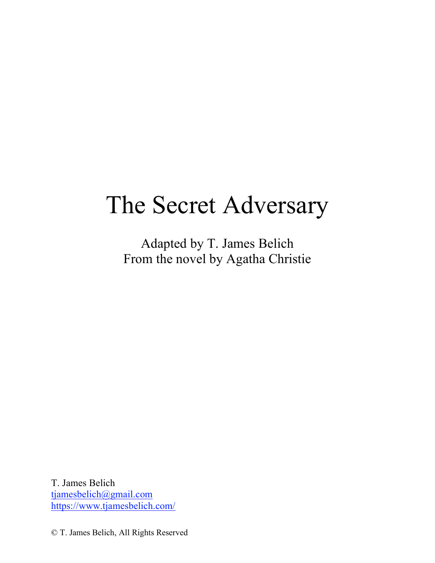# The Secret Adversary

Adapted by T. James Belich From the novel by Agatha Christie

T. James Belich tjamesbelich@gmail.com https://www.tjamesbelich.com/

© T. James Belich, All Rights Reserved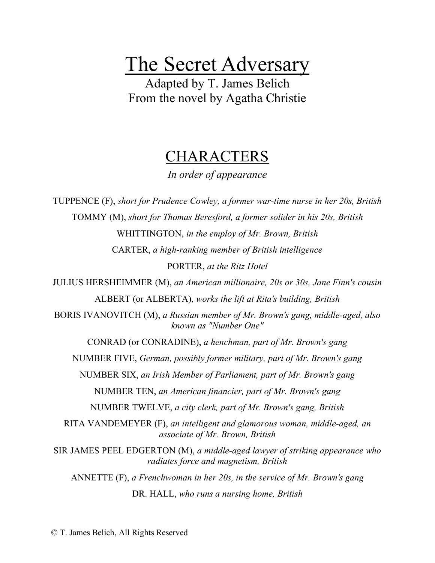# The Secret Adversary

Adapted by T. James Belich From the novel by Agatha Christie

# **CHARACTERS**

*In order of appearance*

TUPPENCE (F), *short for Prudence Cowley, a former war-time nurse in her 20s, British* TOMMY (M), *short for Thomas Beresford, a former solider in his 20s, British* WHITTINGTON, *in the employ of Mr. Brown, British* CARTER, *a high-ranking member of British intelligence* PORTER, *at the Ritz Hotel* JULIUS HERSHEIMMER (M), *an American millionaire, 20s or 30s, Jane Finn's cousin* ALBERT (or ALBERTA), *works the lift at Rita's building, British* BORIS IVANOVITCH (M), *a Russian member of Mr. Brown's gang, middle-aged, also known as "Number One"* CONRAD (or CONRADINE), *a henchman, part of Mr. Brown's gang* NUMBER FIVE, *German, possibly former military, part of Mr. Brown's gang* NUMBER SIX, *an Irish Member of Parliament, part of Mr. Brown's gang* NUMBER TEN, *an American financier, part of Mr. Brown's gang* NUMBER TWELVE, *a city clerk, part of Mr. Brown's gang, British* RITA VANDEMEYER (F), *an intelligent and glamorous woman, middle-aged, an associate of Mr. Brown, British* SIR JAMES PEEL EDGERTON (M), *a middle-aged lawyer of striking appearance who radiates force and magnetism, British* ANNETTE (F), *a Frenchwoman in her 20s, in the service of Mr. Brown's gang* DR. HALL, *who runs a nursing home, British*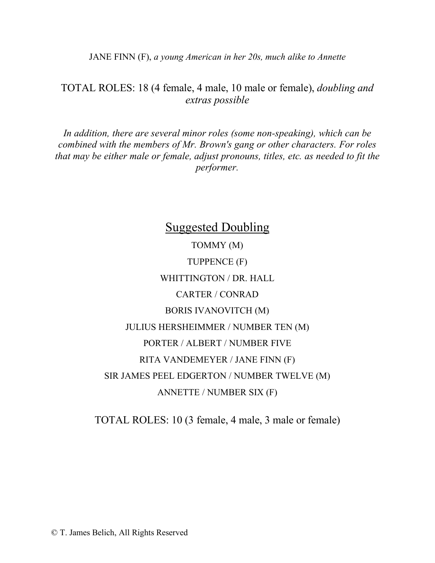JANE FINN (F), *a young American in her 20s, much alike to Annette*

## TOTAL ROLES: 18 (4 female, 4 male, 10 male or female), *doubling and extras possible*

*In addition, there are several minor roles (some non-speaking), which can be combined with the members of Mr. Brown's gang or other characters. For roles that may be either male or female, adjust pronouns, titles, etc. as needed to fit the performer.*

> Suggested Doubling TOMMY (M) TUPPENCE (F) WHITTINGTON / DR. HALL CARTER / CONRAD BORIS IVANOVITCH (M) JULIUS HERSHEIMMER / NUMBER TEN (M) PORTER / ALBERT / NUMBER FIVE RITA VANDEMEYER / JANE FINN (F) SIR JAMES PEEL EDGERTON / NUMBER TWELVE (M) ANNETTE / NUMBER SIX (F)

TOTAL ROLES: 10 (3 female, 4 male, 3 male or female)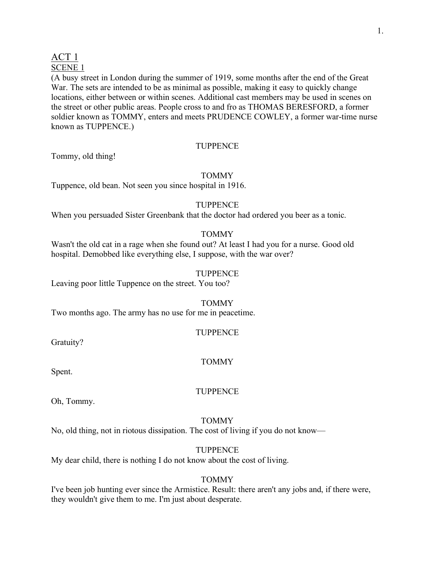## ACT 1 SCENE 1

(A busy street in London during the summer of 1919, some months after the end of the Great War. The sets are intended to be as minimal as possible, making it easy to quickly change locations, either between or within scenes. Additional cast members may be used in scenes on the street or other public areas. People cross to and fro as THOMAS BERESFORD, a former soldier known as TOMMY, enters and meets PRUDENCE COWLEY, a former war-time nurse known as TUPPENCE.)

## **TUPPENCE**

Tommy, old thing!

## TOMMY

Tuppence, old bean. Not seen you since hospital in 1916.

## **TUPPENCE**

When you persuaded Sister Greenbank that the doctor had ordered you beer as a tonic.

## TOMMY

Wasn't the old cat in a rage when she found out? At least I had you for a nurse. Good old hospital. Demobbed like everything else, I suppose, with the war over?

## **TUPPENCE**

Leaving poor little Tuppence on the street. You too?

## TOMMY

Two months ago. The army has no use for me in peacetime.

## **TUPPENCE**

Gratuity?

## TOMMY

Spent.

## **TUPPENCE**

Oh, Tommy.

## TOMMY

No, old thing, not in riotous dissipation. The cost of living if you do not know—

## **TUPPENCE**

My dear child, there is nothing I do not know about the cost of living.

## TOMMY

I've been job hunting ever since the Armistice. Result: there aren't any jobs and, if there were, they wouldn't give them to me. I'm just about desperate.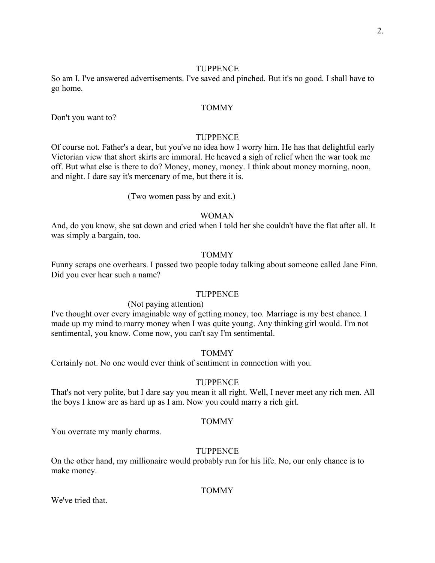So am I. I've answered advertisements. I've saved and pinched. But it's no good. I shall have to go home.

#### TOMMY

Don't you want to?

#### **TUPPENCE**

Of course not. Father's a dear, but you've no idea how I worry him. He has that delightful early Victorian view that short skirts are immoral. He heaved a sigh of relief when the war took me off. But what else is there to do? Money, money, money. I think about money morning, noon, and night. I dare say it's mercenary of me, but there it is.

(Two women pass by and exit.)

#### WOMAN

And, do you know, she sat down and cried when I told her she couldn't have the flat after all. It was simply a bargain, too.

#### TOMMY

Funny scraps one overhears. I passed two people today talking about someone called Jane Finn. Did you ever hear such a name?

#### **TUPPENCE**

#### (Not paying attention)

I've thought over every imaginable way of getting money, too. Marriage is my best chance. I made up my mind to marry money when I was quite young. Any thinking girl would. I'm not sentimental, you know. Come now, you can't say I'm sentimental.

#### TOMMY

Certainly not. No one would ever think of sentiment in connection with you.

#### TUPPENCE

That's not very polite, but I dare say you mean it all right. Well, I never meet any rich men. All the boys I know are as hard up as I am. Now you could marry a rich girl.

#### TOMMY

You overrate my manly charms.

#### **TUPPENCE**

On the other hand, my millionaire would probably run for his life. No, our only chance is to make money.

#### TOMMY

We've tried that.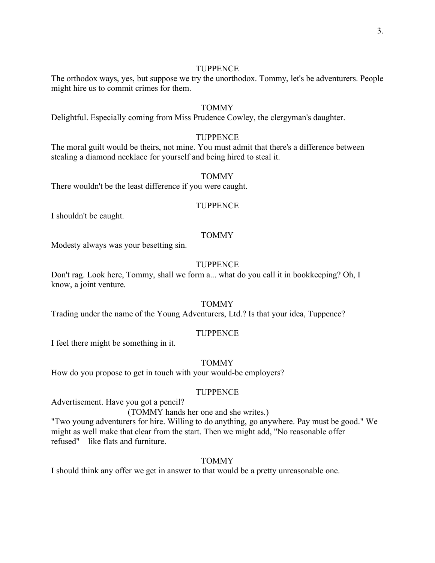The orthodox ways, yes, but suppose we try the unorthodox. Tommy, let's be adventurers. People might hire us to commit crimes for them.

## TOMMY

Delightful. Especially coming from Miss Prudence Cowley, the clergyman's daughter.

## **TUPPENCE**

The moral guilt would be theirs, not mine. You must admit that there's a difference between stealing a diamond necklace for yourself and being hired to steal it.

#### TOMMY

There wouldn't be the least difference if you were caught.

#### **TUPPENCE**

I shouldn't be caught.

#### TOMMY

Modesty always was your besetting sin.

#### **TUPPENCE**

Don't rag. Look here, Tommy, shall we form a... what do you call it in bookkeeping? Oh, I know, a joint venture.

#### TOMMY

Trading under the name of the Young Adventurers, Ltd.? Is that your idea, Tuppence?

### **TUPPENCE**

I feel there might be something in it.

#### TOMMY

How do you propose to get in touch with your would-be employers?

#### **TUPPENCE**

Advertisement. Have you got a pencil?

#### (TOMMY hands her one and she writes.)

"Two young adventurers for hire. Willing to do anything, go anywhere. Pay must be good." We might as well make that clear from the start. Then we might add, "No reasonable offer refused"—like flats and furniture.

#### TOMMY

I should think any offer we get in answer to that would be a pretty unreasonable one.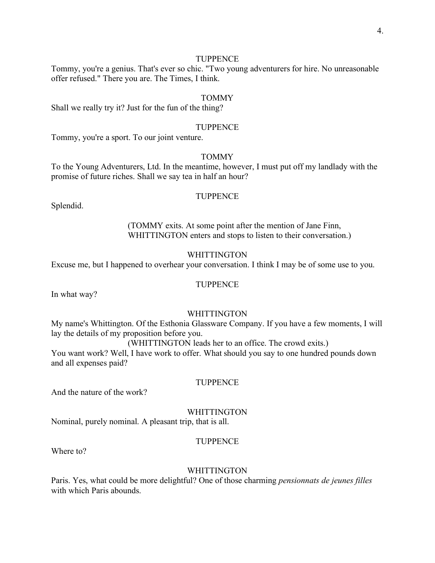Tommy, you're a genius. That's ever so chic. "Two young adventurers for hire. No unreasonable offer refused." There you are. The Times, I think.

#### TOMMY

Shall we really try it? Just for the fun of the thing?

#### **TUPPENCE**

Tommy, you're a sport. To our joint venture.

## TOMMY

To the Young Adventurers, Ltd. In the meantime, however, I must put off my landlady with the promise of future riches. Shall we say tea in half an hour?

## **TUPPENCE**

Splendid.

(TOMMY exits. At some point after the mention of Jane Finn, WHITTINGTON enters and stops to listen to their conversation.)

#### WHITTINGTON

Excuse me, but I happened to overhear your conversation. I think I may be of some use to you.

#### **TUPPENCE**

In what way?

#### WHITTINGTON

My name's Whittington. Of the Esthonia Glassware Company. If you have a few moments, I will lay the details of my proposition before you.

(WHITTINGTON leads her to an office. The crowd exits.)

You want work? Well, I have work to offer. What should you say to one hundred pounds down and all expenses paid?

#### TUPPENCE

And the nature of the work?

WHITTINGTON

Nominal, purely nominal. A pleasant trip, that is all.

#### **TUPPENCE**

Where to?

#### **WHITTINGTON**

Paris. Yes, what could be more delightful? One of those charming *pensionnats de jeunes filles* with which Paris abounds.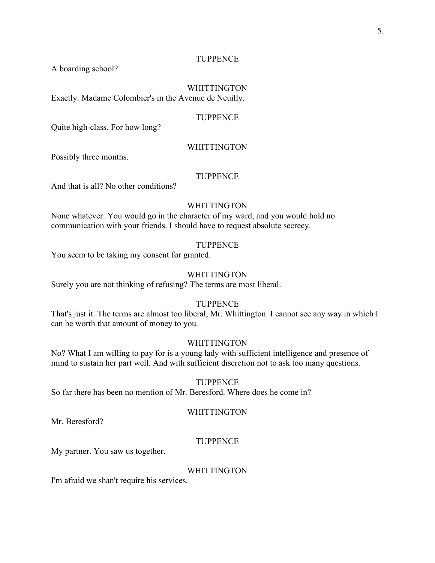A boarding school?

## WHITTINGTON

Exactly. Madame Colombier's in the Avenue de Neuilly.

## **TUPPENCE**

Quite high-class. For how long?

#### WHITTINGTON

Possibly three months.

## **TUPPENCE**

And that is all? No other conditions?

#### WHITTINGTON

None whatever. You would go in the character of my ward, and you would hold no communication with your friends. I should have to request absolute secrecy.

#### **TUPPENCE**

You seem to be taking my consent for granted.

## **WHITTINGTON**

Surely you are not thinking of refusing? The terms are most liberal.

## **TUPPENCE**

That's just it. The terms are almost too liberal, Mr. Whittington. I cannot see any way in which I can be worth that amount of money to you.

#### WHITTINGTON

No? What I am willing to pay for is a young lady with sufficient intelligence and presence of mind to sustain her part well. And with sufficient discretion not to ask too many questions.

#### TUPPENCE

So far there has been no mention of Mr. Beresford. Where does he come in?

## WHITTINGTON

Mr. Beresford?

#### **TUPPENCE**

My partner. You saw us together.

## **WHITTINGTON**

I'm afraid we shan't require his services.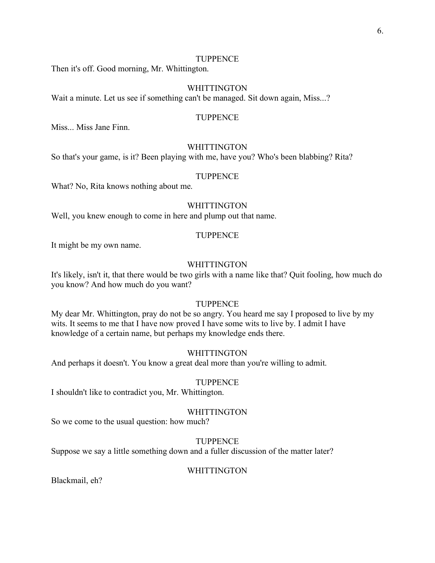Then it's off. Good morning, Mr. Whittington.

#### WHITTINGTON

Wait a minute. Let us see if something can't be managed. Sit down again, Miss...?

## **TUPPENCE**

Miss... Miss Jane Finn.

#### WHITTINGTON

So that's your game, is it? Been playing with me, have you? Who's been blabbing? Rita?

### TUPPENCE

What? No, Rita knows nothing about me.

#### WHITTINGTON

Well, you knew enough to come in here and plump out that name.

## **TUPPENCE**

It might be my own name.

#### WHITTINGTON

It's likely, isn't it, that there would be two girls with a name like that? Quit fooling, how much do you know? And how much do you want?

#### **TUPPENCE**

My dear Mr. Whittington, pray do not be so angry. You heard me say I proposed to live by my wits. It seems to me that I have now proved I have some wits to live by. I admit I have knowledge of a certain name, but perhaps my knowledge ends there.

#### WHITTINGTON

And perhaps it doesn't. You know a great deal more than you're willing to admit.

#### TUPPENCE

I shouldn't like to contradict you, Mr. Whittington.

## WHITTINGTON

So we come to the usual question: how much?

#### **TUPPENCE**

Suppose we say a little something down and a fuller discussion of the matter later?

#### WHITTINGTON

Blackmail, eh?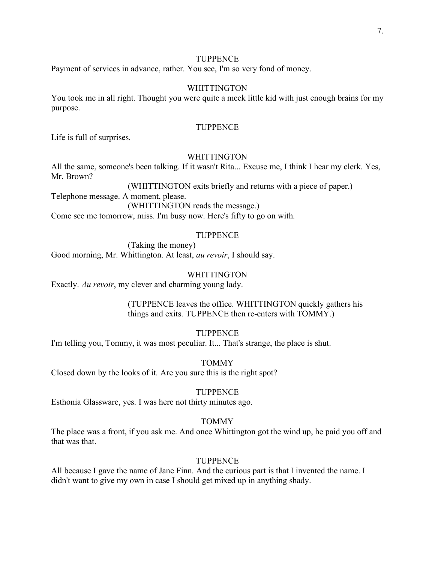Payment of services in advance, rather. You see, I'm so very fond of money.

#### WHITTINGTON

You took me in all right. Thought you were quite a meek little kid with just enough brains for my purpose.

#### **TUPPENCE**

Life is full of surprises.

## **WHITTINGTON**

All the same, someone's been talking. If it wasn't Rita... Excuse me, I think I hear my clerk. Yes, Mr. Brown?

(WHITTINGTON exits briefly and returns with a piece of paper.) Telephone message. A moment, please.

(WHITTINGTON reads the message.)

Come see me tomorrow, miss. I'm busy now. Here's fifty to go on with.

#### **TUPPENCE**

(Taking the money) Good morning, Mr. Whittington. At least, *au revoir*, I should say.

## **WHITTINGTON**

Exactly. *Au revoir*, my clever and charming young lady.

(TUPPENCE leaves the office. WHITTINGTON quickly gathers his things and exits. TUPPENCE then re-enters with TOMMY.)

## **TUPPENCE**

I'm telling you, Tommy, it was most peculiar. It... That's strange, the place is shut.

TOMMY

Closed down by the looks of it. Are you sure this is the right spot?

#### TUPPENCE

Esthonia Glassware, yes. I was here not thirty minutes ago.

## TOMMY

The place was a front, if you ask me. And once Whittington got the wind up, he paid you off and that was that.

#### **TUPPENCE**

All because I gave the name of Jane Finn. And the curious part is that I invented the name. I didn't want to give my own in case I should get mixed up in anything shady.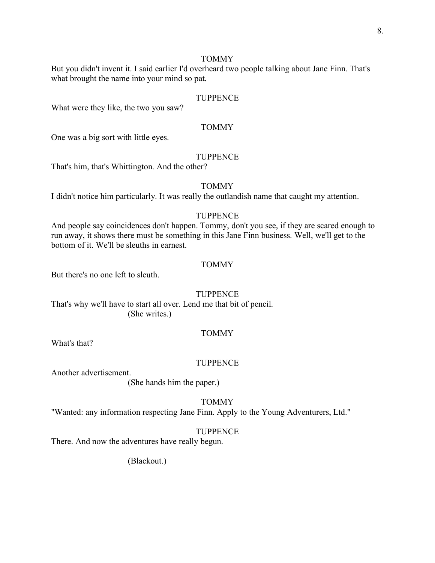## TOMMY

But you didn't invent it. I said earlier I'd overheard two people talking about Jane Finn. That's what brought the name into your mind so pat.

#### **TUPPENCE**

What were they like, the two you saw?

#### TOMMY

One was a big sort with little eyes.

## **TUPPENCE**

That's him, that's Whittington. And the other?

#### TOMMY

I didn't notice him particularly. It was really the outlandish name that caught my attention.

## **TUPPENCE**

And people say coincidences don't happen. Tommy, don't you see, if they are scared enough to run away, it shows there must be something in this Jane Finn business. Well, we'll get to the bottom of it. We'll be sleuths in earnest.

#### TOMMY

But there's no one left to sleuth.

#### **TUPPENCE**

That's why we'll have to start all over. Lend me that bit of pencil. (She writes.)

## TOMMY

What's that?

#### **TUPPENCE**

Another advertisement.

(She hands him the paper.)

## TOMMY

"Wanted: any information respecting Jane Finn. Apply to the Young Adventurers, Ltd."

## **TUPPENCE**

There. And now the adventures have really begun.

(Blackout.)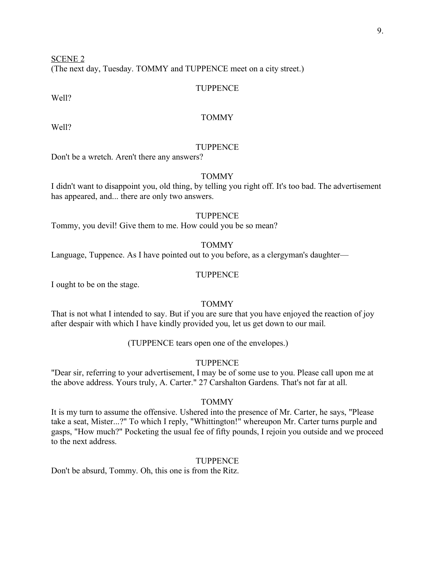SCENE 2

(The next day, Tuesday. TOMMY and TUPPENCE meet on a city street.)

### TUPPENCE

Well?

## TOMMY

Well?

## **TUPPENCE**

Don't be a wretch. Aren't there any answers?

## TOMMY

I didn't want to disappoint you, old thing, by telling you right off. It's too bad. The advertisement has appeared, and... there are only two answers.

## **TUPPENCE**

Tommy, you devil! Give them to me. How could you be so mean?

## TOMMY

Language, Tuppence. As I have pointed out to you before, as a clergyman's daughter—

#### **TUPPENCE**

I ought to be on the stage.

#### TOMMY

That is not what I intended to say. But if you are sure that you have enjoyed the reaction of joy after despair with which I have kindly provided you, let us get down to our mail.

(TUPPENCE tears open one of the envelopes.)

#### TUPPENCE

"Dear sir, referring to your advertisement, I may be of some use to you. Please call upon me at the above address. Yours truly, A. Carter." 27 Carshalton Gardens. That's not far at all.

#### TOMMY

It is my turn to assume the offensive. Ushered into the presence of Mr. Carter, he says, "Please take a seat, Mister...?" To which I reply, "Whittington!" whereupon Mr. Carter turns purple and gasps, "How much?" Pocketing the usual fee of fifty pounds, I rejoin you outside and we proceed to the next address.

#### **TUPPENCE**

Don't be absurd, Tommy. Oh, this one is from the Ritz.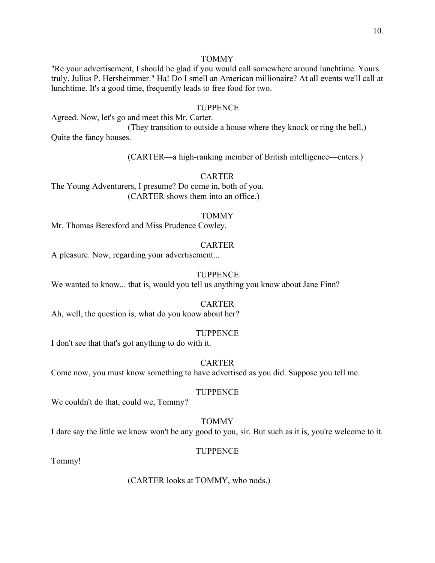## TOMMY

"Re your advertisement, I should be glad if you would call somewhere around lunchtime. Yours truly, Julius P. Hersheimmer." Ha! Do I smell an American millionaire? At all events we'll call at lunchtime. It's a good time, frequently leads to free food for two.

### **TUPPENCE**

Agreed. Now, let's go and meet this Mr. Carter.

(They transition to outside a house where they knock or ring the bell.) Quite the fancy houses.

(CARTER—a high-ranking member of British intelligence—enters.)

#### CARTER

The Young Adventurers, I presume? Do come in, both of you. (CARTER shows them into an office.)

#### **TOMMY**

Mr. Thomas Beresford and Miss Prudence Cowley.

#### **CARTER**

A pleasure. Now, regarding your advertisement...

#### **TUPPENCE**

We wanted to know... that is, would you tell us anything you know about Jane Finn?

#### CARTER

Ah, well, the question is, what do you know about her?

#### TUPPENCE

I don't see that that's got anything to do with it.

#### CARTER

Come now, you must know something to have advertised as you did. Suppose you tell me.

#### TUPPENCE

We couldn't do that, could we, Tommy?

### TOMMY

I dare say the little we know won't be any good to you, sir. But such as it is, you're welcome to it.

## TUPPENCE

Tommy!

(CARTER looks at TOMMY, who nods.)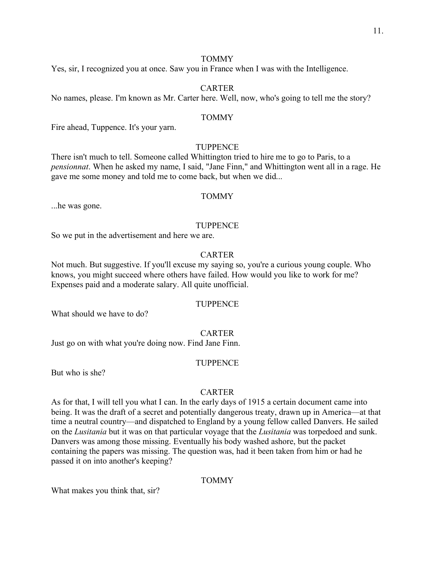## TOMMY

Yes, sir, I recognized you at once. Saw you in France when I was with the Intelligence.

### CARTER

No names, please. I'm known as Mr. Carter here. Well, now, who's going to tell me the story?

## TOMMY

Fire ahead, Tuppence. It's your yarn.

#### **TUPPENCE**

There isn't much to tell. Someone called Whittington tried to hire me to go to Paris, to a *pensionnat*. When he asked my name, I said, "Jane Finn," and Whittington went all in a rage. He gave me some money and told me to come back, but when we did...

## TOMMY

...he was gone.

#### TUPPENCE

So we put in the advertisement and here we are.

#### CARTER

Not much. But suggestive. If you'll excuse my saying so, you're a curious young couple. Who knows, you might succeed where others have failed. How would you like to work for me? Expenses paid and a moderate salary. All quite unofficial.

#### **TUPPENCE**

What should we have to do?

### CARTER

Just go on with what you're doing now. Find Jane Finn.

#### **TUPPENCE**

But who is she?

#### CARTER

As for that, I will tell you what I can. In the early days of 1915 a certain document came into being. It was the draft of a secret and potentially dangerous treaty, drawn up in America—at that time a neutral country—and dispatched to England by a young fellow called Danvers. He sailed on the *Lusitania* but it was on that particular voyage that the *Lusitania* was torpedoed and sunk. Danvers was among those missing. Eventually his body washed ashore, but the packet containing the papers was missing. The question was, had it been taken from him or had he passed it on into another's keeping?

## TOMMY

What makes you think that, sir?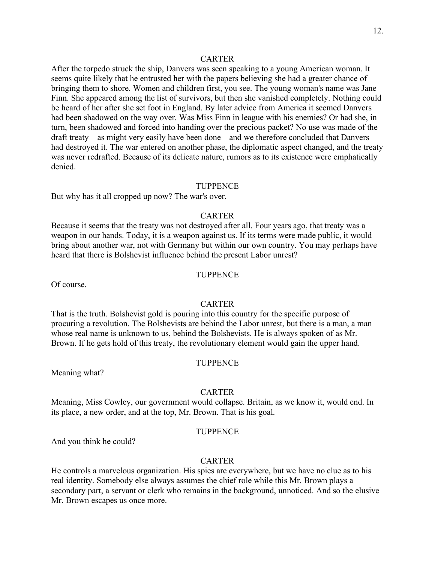#### CARTER

After the torpedo struck the ship, Danvers was seen speaking to a young American woman. It seems quite likely that he entrusted her with the papers believing she had a greater chance of bringing them to shore. Women and children first, you see. The young woman's name was Jane Finn. She appeared among the list of survivors, but then she vanished completely. Nothing could be heard of her after she set foot in England. By later advice from America it seemed Danvers had been shadowed on the way over. Was Miss Finn in league with his enemies? Or had she, in turn, been shadowed and forced into handing over the precious packet? No use was made of the draft treaty—as might very easily have been done—and we therefore concluded that Danvers had destroyed it. The war entered on another phase, the diplomatic aspect changed, and the treaty was never redrafted. Because of its delicate nature, rumors as to its existence were emphatically denied.

#### **TUPPENCE**

But why has it all cropped up now? The war's over.

## **CARTER**

Because it seems that the treaty was not destroyed after all. Four years ago, that treaty was a weapon in our hands. Today, it is a weapon against us. If its terms were made public, it would bring about another war, not with Germany but within our own country. You may perhaps have heard that there is Bolshevist influence behind the present Labor unrest?

#### **TUPPENCE**

Of course.

#### CARTER

That is the truth. Bolshevist gold is pouring into this country for the specific purpose of procuring a revolution. The Bolshevists are behind the Labor unrest, but there is a man, a man whose real name is unknown to us, behind the Bolshevists. He is always spoken of as Mr. Brown. If he gets hold of this treaty, the revolutionary element would gain the upper hand.

#### **TUPPENCE**

Meaning what?

#### **CARTER**

Meaning, Miss Cowley, our government would collapse. Britain, as we know it, would end. In its place, a new order, and at the top, Mr. Brown. That is his goal.

## TUPPENCE

And you think he could?

#### **CARTER**

He controls a marvelous organization. His spies are everywhere, but we have no clue as to his real identity. Somebody else always assumes the chief role while this Mr. Brown plays a secondary part, a servant or clerk who remains in the background, unnoticed. And so the elusive Mr. Brown escapes us once more.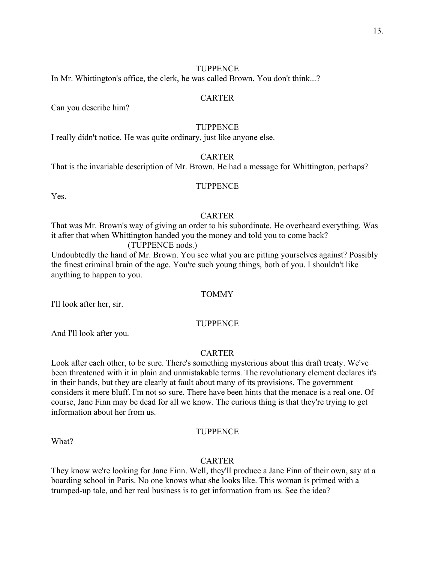In Mr. Whittington's office, the clerk, he was called Brown. You don't think...?

#### CARTER

Can you describe him?

### TUPPENCE

I really didn't notice. He was quite ordinary, just like anyone else.

## CARTER

That is the invariable description of Mr. Brown. He had a message for Whittington, perhaps?

#### TUPPENCE

Yes.

## **CARTER**

That was Mr. Brown's way of giving an order to his subordinate. He overheard everything. Was it after that when Whittington handed you the money and told you to come back?

(TUPPENCE nods.)

Undoubtedly the hand of Mr. Brown. You see what you are pitting yourselves against? Possibly the finest criminal brain of the age. You're such young things, both of you. I shouldn't like anything to happen to you.

## **TOMMY**

I'll look after her, sir.

#### TUPPENCE

And I'll look after you.

## CARTER

Look after each other, to be sure. There's something mysterious about this draft treaty. We've been threatened with it in plain and unmistakable terms. The revolutionary element declares it's in their hands, but they are clearly at fault about many of its provisions. The government considers it mere bluff. I'm not so sure. There have been hints that the menace is a real one. Of course, Jane Finn may be dead for all we know. The curious thing is that they're trying to get information about her from us.

#### **TUPPENCE**

What?

#### **CARTER**

They know we're looking for Jane Finn. Well, they'll produce a Jane Finn of their own, say at a boarding school in Paris. No one knows what she looks like. This woman is primed with a trumped-up tale, and her real business is to get information from us. See the idea?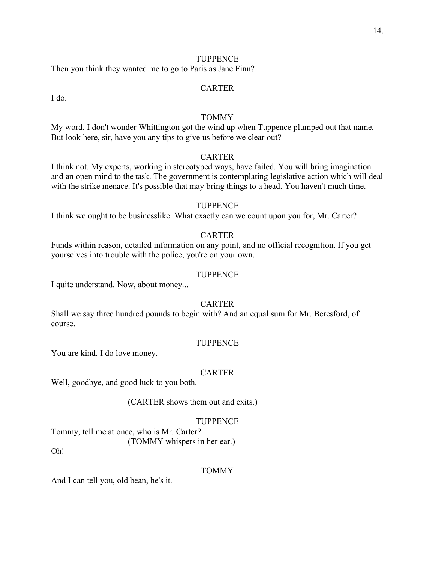Then you think they wanted me to go to Paris as Jane Finn?

#### CARTER

I do.

## TOMMY

My word, I don't wonder Whittington got the wind up when Tuppence plumped out that name. But look here, sir, have you any tips to give us before we clear out?

## CARTER

I think not. My experts, working in stereotyped ways, have failed. You will bring imagination and an open mind to the task. The government is contemplating legislative action which will deal with the strike menace. It's possible that may bring things to a head. You haven't much time.

#### **TUPPENCE**

I think we ought to be businesslike. What exactly can we count upon you for, Mr. Carter?

## CARTER

Funds within reason, detailed information on any point, and no official recognition. If you get yourselves into trouble with the police, you're on your own.

#### **TUPPENCE**

I quite understand. Now, about money...

#### **CARTER**

Shall we say three hundred pounds to begin with? And an equal sum for Mr. Beresford, of course.

#### **TUPPENCE**

You are kind. I do love money.

#### CARTER

Well, goodbye, and good luck to you both.

(CARTER shows them out and exits.)

#### **TUPPENCE**

Tommy, tell me at once, who is Mr. Carter? (TOMMY whispers in her ear.)

Oh!

#### TOMMY

And I can tell you, old bean, he's it.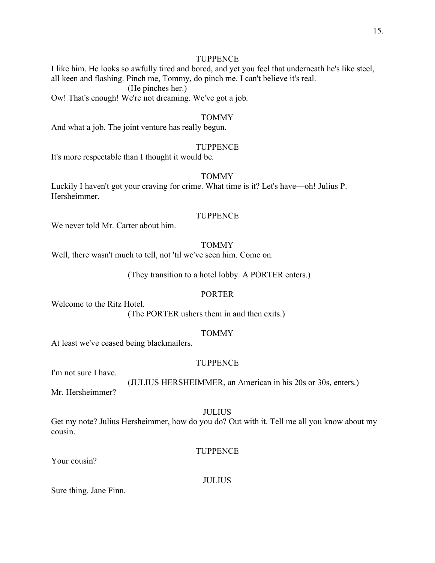I like him. He looks so awfully tired and bored, and yet you feel that underneath he's like steel, all keen and flashing. Pinch me, Tommy, do pinch me. I can't believe it's real. (He pinches her.) Ow! That's enough! We're not dreaming. We've got a job.

#### TOMMY

And what a job. The joint venture has really begun.

#### **TUPPENCE**

It's more respectable than I thought it would be.

## TOMMY

Luckily I haven't got your craving for crime. What time is it? Let's have—oh! Julius P. Hersheimmer.

### **TUPPENCE**

We never told Mr. Carter about him.

#### TOMMY

Well, there wasn't much to tell, not 'til we've seen him. Come on.

(They transition to a hotel lobby. A PORTER enters.)

## PORTER

Welcome to the Ritz Hotel.

(The PORTER ushers them in and then exits.)

### TOMMY

At least we've ceased being blackmailers.

#### **TUPPENCE**

I'm not sure I have.

## (JULIUS HERSHEIMMER, an American in his 20s or 30s, enters.)

Mr. Hersheimmer?

#### JULIUS

Get my note? Julius Hersheimmer, how do you do? Out with it. Tell me all you know about my cousin.

**TUPPENCE** 

Your cousin?

JULIUS

Sure thing. Jane Finn.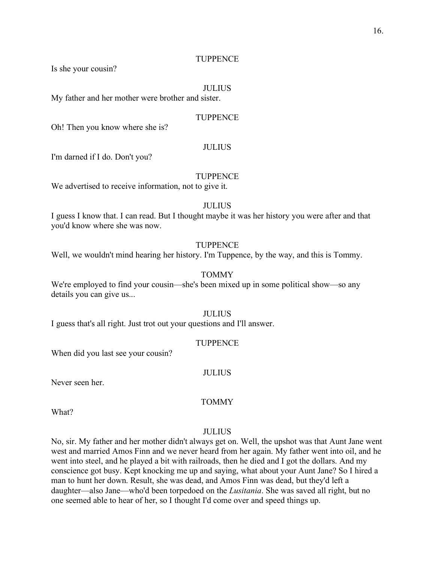Is she your cousin?

#### JULIUS

My father and her mother were brother and sister.

#### **TUPPENCE**

Oh! Then you know where she is?

#### JULIUS

I'm darned if I do. Don't you?

#### **TUPPENCE**

We advertised to receive information, not to give it.

#### JULIUS

I guess I know that. I can read. But I thought maybe it was her history you were after and that you'd know where she was now.

#### TUPPENCE

Well, we wouldn't mind hearing her history. I'm Tuppence, by the way, and this is Tommy.

#### TOMMY

We're employed to find your cousin—she's been mixed up in some political show—so any details you can give us...

JULIUS

I guess that's all right. Just trot out your questions and I'll answer.

#### **TUPPENCE**

When did you last see your cousin?

#### JULIUS

Never seen her.

## TOMMY

What?

#### JULIUS

No, sir. My father and her mother didn't always get on. Well, the upshot was that Aunt Jane went west and married Amos Finn and we never heard from her again. My father went into oil, and he went into steel, and he played a bit with railroads, then he died and I got the dollars. And my conscience got busy. Kept knocking me up and saying, what about your Aunt Jane? So I hired a man to hunt her down. Result, she was dead, and Amos Finn was dead, but they'd left a daughter—also Jane—who'd been torpedoed on the *Lusitania*. She was saved all right, but no one seemed able to hear of her, so I thought I'd come over and speed things up.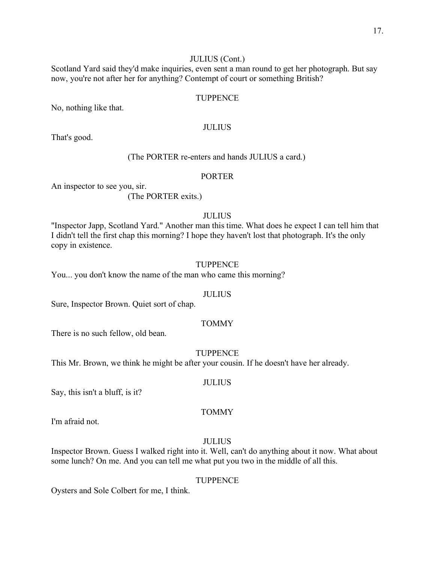## JULIUS (Cont.)

Scotland Yard said they'd make inquiries, even sent a man round to get her photograph. But say now, you're not after her for anything? Contempt of court or something British?

#### TUPPENCE

No, nothing like that.

#### JULIUS

That's good.

### (The PORTER re-enters and hands JULIUS a card.)

#### PORTER

An inspector to see you, sir.

(The PORTER exits.)

#### JULIUS

"Inspector Japp, Scotland Yard." Another man this time. What does he expect I can tell him that I didn't tell the first chap this morning? I hope they haven't lost that photograph. It's the only copy in existence.

#### TUPPENCE

You... you don't know the name of the man who came this morning?

## JULIUS

Sure, Inspector Brown. Quiet sort of chap.

#### TOMMY

There is no such fellow, old bean.

TUPPENCE

This Mr. Brown, we think he might be after your cousin. If he doesn't have her already.

#### JULIUS

Say, this isn't a bluff, is it?

## TOMMY

I'm afraid not.

## JULIUS

Inspector Brown. Guess I walked right into it. Well, can't do anything about it now. What about some lunch? On me. And you can tell me what put you two in the middle of all this.

#### TUPPENCE

Oysters and Sole Colbert for me, I think.